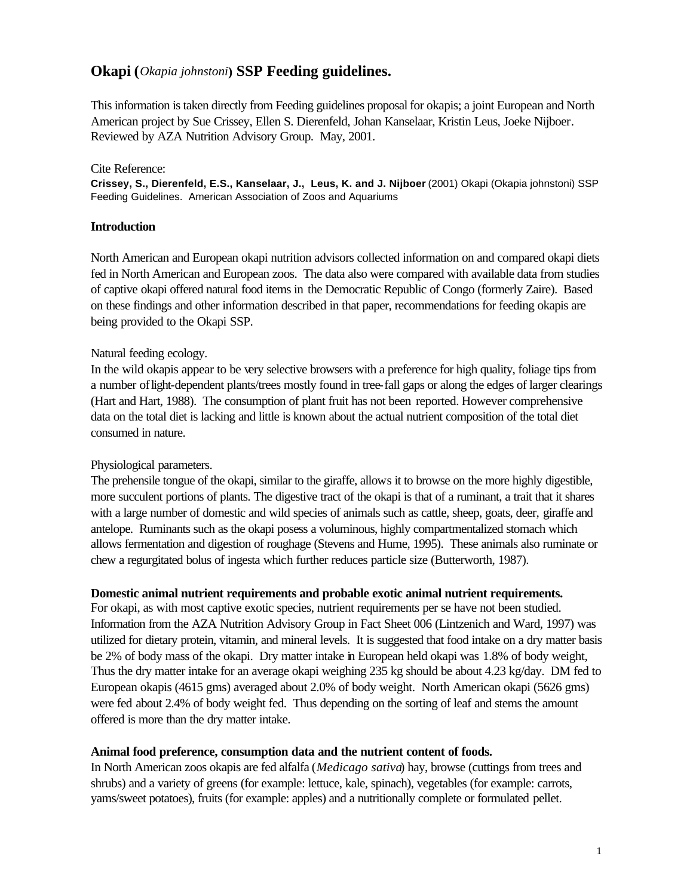# **Okapi (***Okapia johnstoni***) SSP Feeding guidelines.**

This information is taken directly from Feeding guidelines proposal for okapis; a joint European and North American project by Sue Crissey, Ellen S. Dierenfeld, Johan Kanselaar, Kristin Leus, Joeke Nijboer. Reviewed by AZA Nutrition Advisory Group. May, 2001.

#### Cite Reference:

**Crissey, S., Dierenfeld, E.S., Kanselaar, J., Leus, K. and J. Nijboer** (2001) Okapi (Okapia johnstoni) SSP Feeding Guidelines. American Association of Zoos and Aquariums

## **Introduction**

North American and European okapi nutrition advisors collected information on and compared okapi diets fed in North American and European zoos. The data also were compared with available data from studies of captive okapi offered natural food items in the Democratic Republic of Congo (formerly Zaire). Based on these findings and other information described in that paper, recommendations for feeding okapis are being provided to the Okapi SSP.

# Natural feeding ecology.

In the wild okapis appear to be very selective browsers with a preference for high quality, foliage tips from a number oflight-dependent plants/trees mostly found in tree-fall gaps or along the edges of larger clearings (Hart and Hart, 1988). The consumption of plant fruit has not been reported. However comprehensive data on the total diet is lacking and little is known about the actual nutrient composition of the total diet consumed in nature.

#### Physiological parameters.

The prehensile tongue of the okapi, similar to the giraffe, allows it to browse on the more highly digestible, more succulent portions of plants. The digestive tract of the okapi is that of a ruminant, a trait that it shares with a large number of domestic and wild species of animals such as cattle, sheep, goats, deer, giraffe and antelope. Ruminants such as the okapi posess a voluminous, highly compartmentalized stomach which allows fermentation and digestion of roughage (Stevens and Hume, 1995). These animals also ruminate or chew a regurgitated bolus of ingesta which further reduces particle size (Butterworth, 1987).

#### **Domestic animal nutrient requirements and probable exotic animal nutrient requirements.**

For okapi, as with most captive exotic species, nutrient requirements per se have not been studied. Information from the AZA Nutrition Advisory Group in Fact Sheet 006 (Lintzenich and Ward, 1997) was utilized for dietary protein, vitamin, and mineral levels. It is suggested that food intake on a dry matter basis be 2% of body mass of the okapi. Dry matter intake in European held okapi was 1.8% of body weight, Thus the dry matter intake for an average okapi weighing 235 kg should be about 4.23 kg/day. DM fed to European okapis (4615 gms) averaged about 2.0% of body weight. North American okapi (5626 gms) were fed about 2.4% of body weight fed. Thus depending on the sorting of leaf and stems the amount offered is more than the dry matter intake.

#### **Animal food preference, consumption data and the nutrient content of foods.**

In North American zoos okapis are fed alfalfa (*Medicago sativa*) hay, browse (cuttings from trees and shrubs) and a variety of greens (for example: lettuce, kale, spinach), vegetables (for example: carrots, yams/sweet potatoes), fruits (for example: apples) and a nutritionally complete or formulated pellet.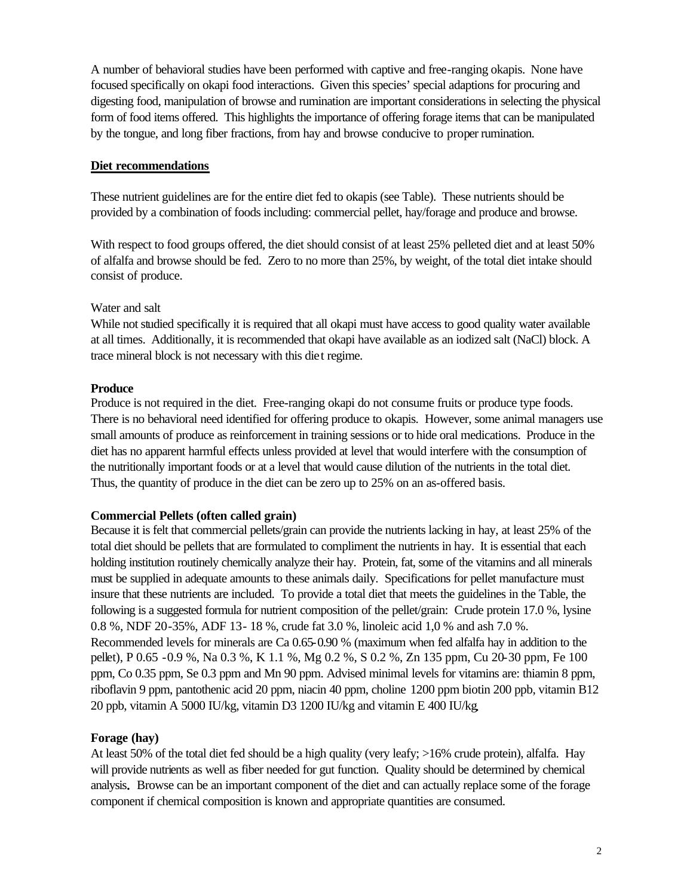A number of behavioral studies have been performed with captive and free-ranging okapis. None have focused specifically on okapi food interactions. Given this species' special adaptions for procuring and digesting food, manipulation of browse and rumination are important considerations in selecting the physical form of food items offered. This highlights the importance of offering forage items that can be manipulated by the tongue, and long fiber fractions, from hay and browse conducive to proper rumination.

#### **Diet recommendations**

These nutrient guidelines are for the entire diet fed to okapis (see Table). These nutrients should be provided by a combination of foods including: commercial pellet, hay/forage and produce and browse.

With respect to food groups offered, the diet should consist of at least 25% pelleted diet and at least 50% of alfalfa and browse should be fed. Zero to no more than 25%, by weight, of the total diet intake should consist of produce.

#### Water and salt

While not studied specifically it is required that all okapi must have access to good quality water available at all times. Additionally, it is recommended that okapi have available as an iodized salt (NaCl) block. A trace mineral block is not necessary with this diet regime.

#### **Produce**

Produce is not required in the diet. Free-ranging okapi do not consume fruits or produce type foods. There is no behavioral need identified for offering produce to okapis. However, some animal managers use small amounts of produce as reinforcement in training sessions or to hide oral medications. Produce in the diet has no apparent harmful effects unless provided at level that would interfere with the consumption of the nutritionally important foods or at a level that would cause dilution of the nutrients in the total diet. Thus, the quantity of produce in the diet can be zero up to 25% on an as-offered basis.

#### **Commercial Pellets (often called grain)**

Because it is felt that commercial pellets/grain can provide the nutrients lacking in hay, at least 25% of the total diet should be pellets that are formulated to compliment the nutrients in hay. It is essential that each holding institution routinely chemically analyze their hay. Protein, fat, some of the vitamins and all minerals must be supplied in adequate amounts to these animals daily. Specifications for pellet manufacture must insure that these nutrients are included. To provide a total diet that meets the guidelines in the Table, the following is a suggested formula for nutrient composition of the pellet/grain: Crude protein 17.0 %, lysine 0.8 %, NDF 20-35%, ADF 13- 18 %, crude fat 3.0 %, linoleic acid 1,0 % and ash 7.0 %. Recommended levels for minerals are Ca 0.65-0.90 % (maximum when fed alfalfa hay in addition to the pellet), P 0.65 -0.9 %, Na 0.3 %, K 1.1 %, Mg 0.2 %, S 0.2 %, Zn 135 ppm, Cu 20-30 ppm, Fe 100 ppm, Co 0.35 ppm, Se 0.3 ppm and Mn 90 ppm. Advised minimal levels for vitamins are: thiamin 8 ppm, riboflavin 9 ppm, pantothenic acid 20 ppm, niacin 40 ppm, choline 1200 ppm biotin 200 ppb, vitamin B12 20 ppb, vitamin A 5000 IU/kg, vitamin D3 1200 IU/kg and vitamin E 400 IU/kg*.*

#### **Forage (hay)**

At least 50% of the total diet fed should be a high quality (very leafy; >16% crude protein), alfalfa. Hay will provide nutrients as well as fiber needed for gut function. Quality should be determined by chemical analysis*.* Browse can be an important component of the diet and can actually replace some of the forage component if chemical composition is known and appropriate quantities are consumed.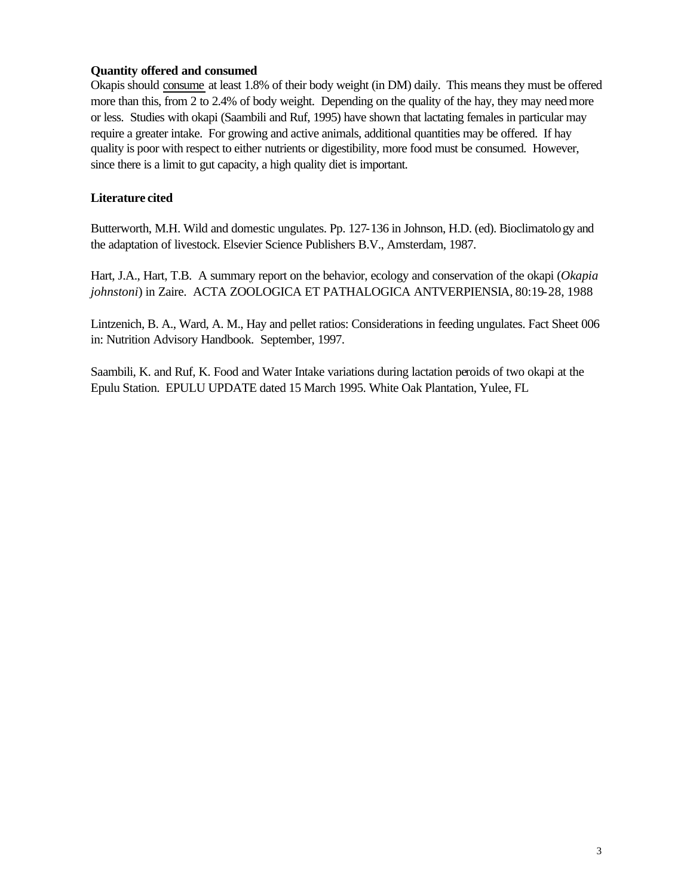# **Quantity offered and consumed**

Okapis should consume at least 1.8% of their body weight (in DM) daily. This means they must be offered more than this, from 2 to 2.4% of body weight. Depending on the quality of the hay, they may need more or less. Studies with okapi (Saambili and Ruf, 1995) have shown that lactating females in particular may require a greater intake. For growing and active animals, additional quantities may be offered. If hay quality is poor with respect to either nutrients or digestibility, more food must be consumed. However, since there is a limit to gut capacity, a high quality diet is important.

# **Literature cited**

Butterworth, M.H. Wild and domestic ungulates. Pp. 127-136 in Johnson, H.D. (ed). Bioclimatology and the adaptation of livestock. Elsevier Science Publishers B.V., Amsterdam, 1987.

Hart, J.A., Hart, T.B. A summary report on the behavior, ecology and conservation of the okapi (*Okapia johnstoni*) in Zaire. ACTA ZOOLOGICA ET PATHALOGICA ANTVERPIENSIA, 80:19-28, 1988

Lintzenich, B. A., Ward, A. M., Hay and pellet ratios: Considerations in feeding ungulates. Fact Sheet 006 in: Nutrition Advisory Handbook. September, 1997.

Saambili, K. and Ruf, K. Food and Water Intake variations during lactation peroids of two okapi at the Epulu Station. EPULU UPDATE dated 15 March 1995. White Oak Plantation, Yulee, FL